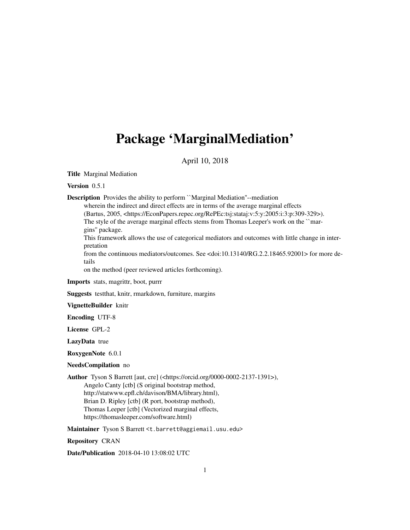## Package 'MarginalMediation'

#### April 10, 2018

Title Marginal Mediation

Version 0.5.1

Description Provides the ability to perform ``Marginal Mediation''--mediation

wherein the indirect and direct effects are in terms of the average marginal effects (Bartus, 2005, <https://EconPapers.repec.org/RePEc:tsj:stataj:v:5:y:2005:i:3:p:309-329>). The style of the average marginal effects stems from Thomas Leeper's work on the ``margins'' package.

This framework allows the use of categorical mediators and outcomes with little change in interpretation

from the continuous mediators/outcomes. See <doi:10.13140/RG.2.2.18465.92001> for more details

on the method (peer reviewed articles forthcoming).

Imports stats, magrittr, boot, purrr

Suggests testthat, knitr, rmarkdown, furniture, margins

VignetteBuilder knitr

Encoding UTF-8

License GPL-2

LazyData true

RoxygenNote 6.0.1

#### NeedsCompilation no

Author Tyson S Barrett [aut, cre] (<https://orcid.org/0000-0002-2137-1391>),

Angelo Canty [ctb] (S original bootstrap method, http://statwww.epfl.ch/davison/BMA/library.html), Brian D. Ripley [ctb] (R port, bootstrap method), Thomas Leeper [ctb] (Vectorized marginal effects, https://thomasleeper.com/software.html)

Maintainer Tyson S Barrett <t.barrett@aggiemail.usu.edu>

Repository CRAN

Date/Publication 2018-04-10 13:08:02 UTC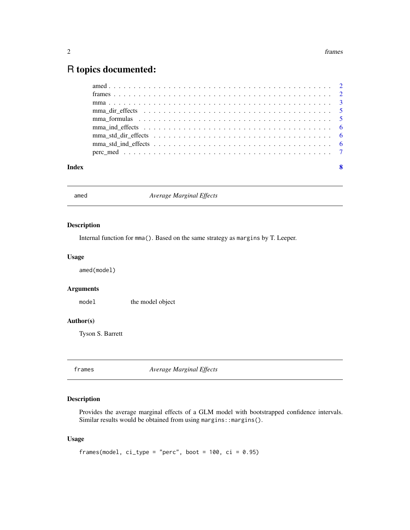### <span id="page-1-0"></span>R topics documented:

| Index | $\mathbf{8}$ |
|-------|--------------|

amed *Average Marginal Effects*

#### Description

Internal function for mma(). Based on the same strategy as margins by T. Leeper.

#### Usage

amed(model)

#### Arguments

model the model object

#### Author(s)

Tyson S. Barrett

frames *Average Marginal Effects*

#### Description

Provides the average marginal effects of a GLM model with bootstrapped confidence intervals. Similar results would be obtained from using margins:: margins().

#### Usage

```
frames(model, ci_type = "perc", boot = 100, ci = 0.95)
```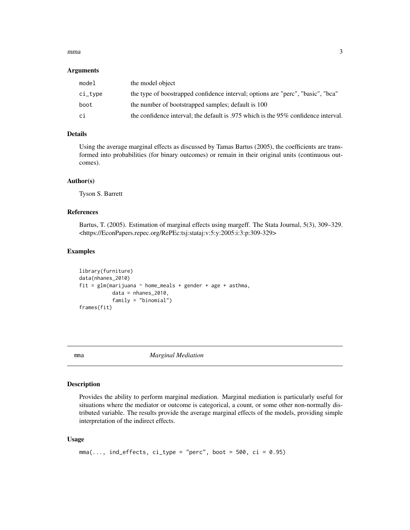#### <span id="page-2-0"></span> $mma$  3

#### **Arguments**

| model       | the model object                                                                   |
|-------------|------------------------------------------------------------------------------------|
| $ci_{type}$ | the type of boostrapped confidence interval; options are "perc", "basic", "bca"    |
| boot        | the number of bootstrapped samples; default is 100                                 |
| ci          | the confidence interval; the default is .975 which is the 95% confidence interval. |

#### Details

Using the average marginal effects as discussed by Tamas Bartus (2005), the coefficients are transformed into probabilities (for binary outcomes) or remain in their original units (continuous outcomes).

#### Author(s)

Tyson S. Barrett

#### References

Bartus, T. (2005). Estimation of marginal effects using margeff. The Stata Journal, 5(3), 309–329. <https://EconPapers.repec.org/RePEc:tsj:stataj:v:5:y:2005:i:3:p:309-329>

#### Examples

```
library(furniture)
data(nhanes_2010)
fit = glm(marijuana ~ home_means + gender + age + asthma,data = nhanes_2010,
           family = "binomial")
frames(fit)
```
mma *Marginal Mediation*

#### Description

Provides the ability to perform marginal mediation. Marginal mediation is particularly useful for situations where the mediator or outcome is categorical, a count, or some other non-normally distributed variable. The results provide the average marginal effects of the models, providing simple interpretation of the indirect effects.

#### Usage

```
mma(..., ind_{eff}ects, ci_{type} = "perc", boot = 500, ci = 0.95)
```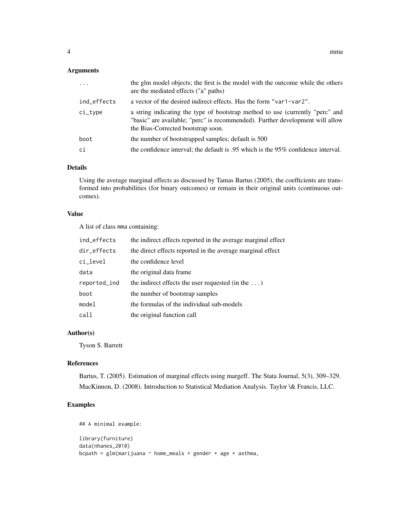#### Arguments

| $\cdot$     | the glm model objects; the first is the model with the outcome while the others<br>are the mediated effects ("a" paths)                                                                              |
|-------------|------------------------------------------------------------------------------------------------------------------------------------------------------------------------------------------------------|
| ind_effects | a vector of the desired indirect effects. Has the form "var1-var2".                                                                                                                                  |
| $ci$ -type  | a string indicating the type of bootstrap method to use (currently "perc" and<br>"basic" are available; "perc" is recommended). Further development will allow<br>the Bias-Corrected bootstrap soon. |
| boot        | the number of bootstrapped samples; default is 500                                                                                                                                                   |
| ci          | the confidence interval; the default is .95 which is the 95% confidence interval.                                                                                                                    |
|             |                                                                                                                                                                                                      |

#### Details

Using the average marginal effects as discussed by Tamas Bartus (2005), the coefficients are transformed into probabilities (for binary outcomes) or remain in their original units (continuous outcomes).

#### Value

A list of class mma containing:

| ind_effects  | the indirect effects reported in the average marginal effect |
|--------------|--------------------------------------------------------------|
| dir_effects  | the direct effects reported in the average marginal effect   |
| ci_level     | the confidence level                                         |
| data         | the original data frame.                                     |
| reported_ind | the indirect effects the user requested (in the $\dots$ )    |
| boot         | the number of bootstrap samples                              |
| model        | the formulas of the individual sub-models                    |
| call         | the original function call                                   |

#### Author(s)

Tyson S. Barrett

#### References

Bartus, T. (2005). Estimation of marginal effects using margeff. The Stata Journal, 5(3), 309–329. MacKinnon, D. (2008). Introduction to Statistical Mediation Analysis. Taylor \& Francis, LLC.

#### Examples

```
## A minimal example:
library(furniture)
data(nhanes_2010)
bcpath = glm(marijuana ~ home_means + gender + age + asthma,
```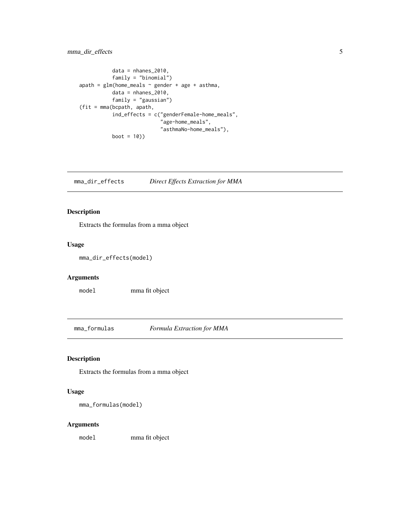#### <span id="page-4-0"></span>mma\_dir\_effects 5

```
data = nhanes_2010,family = "binomial")
apath = glm(home_meals \sim gender + age + asthma,
           data = nhanes_2010,family = "gaussian")
(fit = mma(bcpath, apath,
           ind_effects = c("genderFemale-home_meals",
                           "age-home_meals",
                           "asthmaNo-home_meals"),
           boot = 10))
```
mma\_dir\_effects *Direct Effects Extraction for MMA*

#### Description

Extracts the formulas from a mma object

#### Usage

```
mma_dir_effects(model)
```
#### Arguments

model mma fit object

mma\_formulas *Formula Extraction for MMA*

#### Description

Extracts the formulas from a mma object

#### Usage

mma\_formulas(model)

#### Arguments

model mma fit object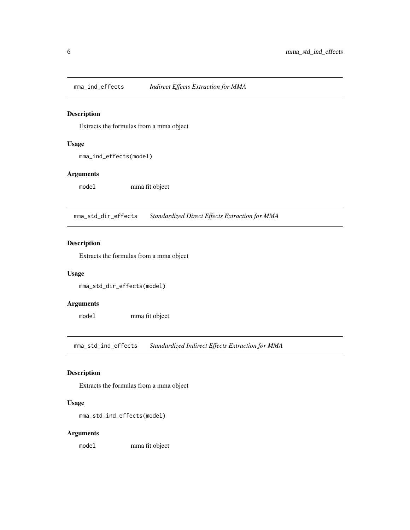<span id="page-5-0"></span>

#### Description

Extracts the formulas from a mma object

#### Usage

mma\_ind\_effects(model)

#### Arguments

model mma fit object

mma\_std\_dir\_effects *Standardized Direct Effects Extraction for MMA*

#### Description

Extracts the formulas from a mma object

#### Usage

mma\_std\_dir\_effects(model)

#### Arguments

model mma fit object

mma\_std\_ind\_effects *Standardized Indirect Effects Extraction for MMA*

#### Description

Extracts the formulas from a mma object

#### Usage

```
mma_std_ind_effects(model)
```
#### Arguments

model mma fit object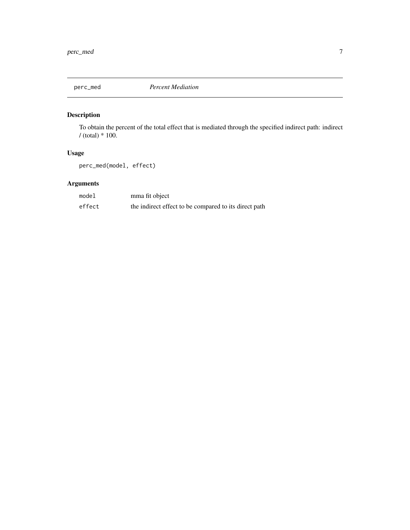<span id="page-6-0"></span>

#### Description

To obtain the percent of the total effect that is mediated through the specified indirect path: indirect  $/$  (total)  $*$  100.

#### Usage

perc\_med(model, effect)

#### Arguments

| model  | mma fit object                                        |
|--------|-------------------------------------------------------|
| effect | the indirect effect to be compared to its direct path |